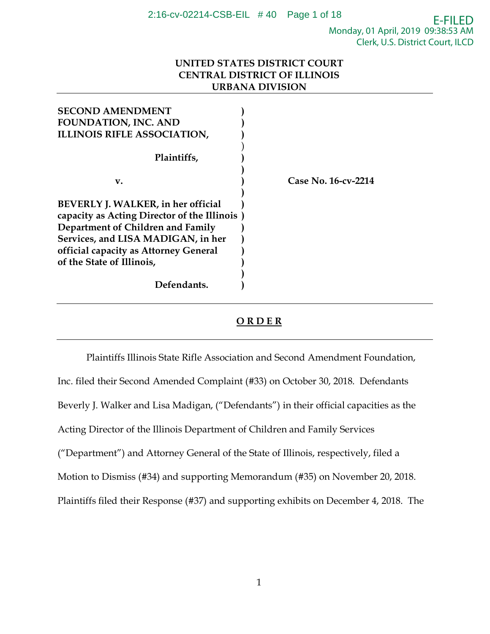# E-FILED Monday, 01 April, 2019 09:38:53 AM Clerk, U.S. District Court, ILCD

# **UNITED STATES DISTRICT COURT CENTRAL DISTRICT OF ILLINOIS URBANA DIVISION**

| <b>SECOND AMENDMENT</b>                                                                                                                                                                                                              |                     |
|--------------------------------------------------------------------------------------------------------------------------------------------------------------------------------------------------------------------------------------|---------------------|
| <b>FOUNDATION, INC. AND</b>                                                                                                                                                                                                          |                     |
| <b>ILLINOIS RIFLE ASSOCIATION,</b>                                                                                                                                                                                                   |                     |
| Plaintiffs,                                                                                                                                                                                                                          |                     |
| v.                                                                                                                                                                                                                                   | Case No. 16-cv-2214 |
| BEVERLY J. WALKER, in her official<br>capacity as Acting Director of the Illinois )<br>Department of Children and Family<br>Services, and LISA MADIGAN, in her<br>official capacity as Attorney General<br>of the State of Illinois, |                     |
| Defendants.                                                                                                                                                                                                                          |                     |

# **O R D E R**

Plaintiffs Illinois State Rifle Association and Second Amendment Foundation, Inc. filed their Second Amended Complaint (#33) on October 30, 2018. Defendants Beverly J. Walker and Lisa Madigan, ("Defendants") in their official capacities as the Acting Director of the Illinois Department of Children and Family Services ("Department") and Attorney General of the State of Illinois, respectively, filed a Motion to Dismiss (#34) and supporting Memorandum (#35) on November 20, 2018. Plaintiffs filed their Response (#37) and supporting exhibits on December 4, 2018. The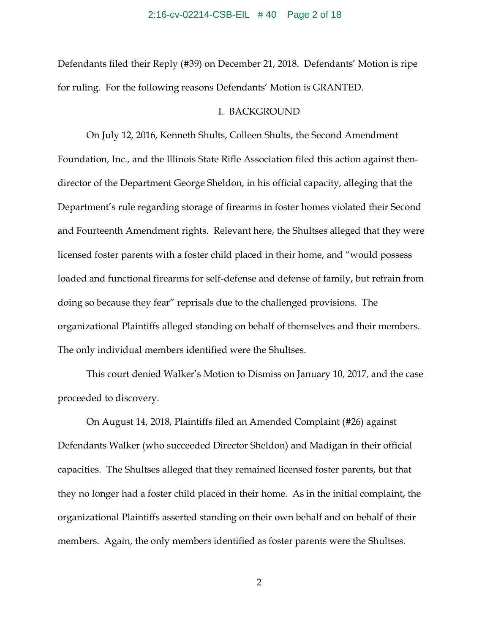## 2:16-cv-02214-CSB-EIL # 40 Page 2 of 18

Defendants filed their Reply (#39) on December 21, 2018. Defendants' Motion is ripe for ruling. For the following reasons Defendants' Motion is GRANTED.

## I. BACKGROUND

On July 12, 2016, Kenneth Shults, Colleen Shults, the Second Amendment Foundation, Inc., and the Illinois State Rifle Association filed this action against thendirector of the Department George Sheldon, in his official capacity, alleging that the Department's rule regarding storage of firearms in foster homes violated their Second and Fourteenth Amendment rights. Relevant here, the Shultses alleged that they were licensed foster parents with a foster child placed in their home, and "would possess loaded and functional firearms for self-defense and defense of family, but refrain from doing so because they fear" reprisals due to the challenged provisions. The organizational Plaintiffs alleged standing on behalf of themselves and their members. The only individual members identified were the Shultses.

This court denied Walker's Motion to Dismiss on January 10, 2017, and the case proceeded to discovery.

On August 14, 2018, Plaintiffs filed an Amended Complaint (#26) against Defendants Walker (who succeeded Director Sheldon) and Madigan in their official capacities. The Shultses alleged that they remained licensed foster parents, but that they no longer had a foster child placed in their home. As in the initial complaint, the organizational Plaintiffs asserted standing on their own behalf and on behalf of their members. Again, the only members identified as foster parents were the Shultses.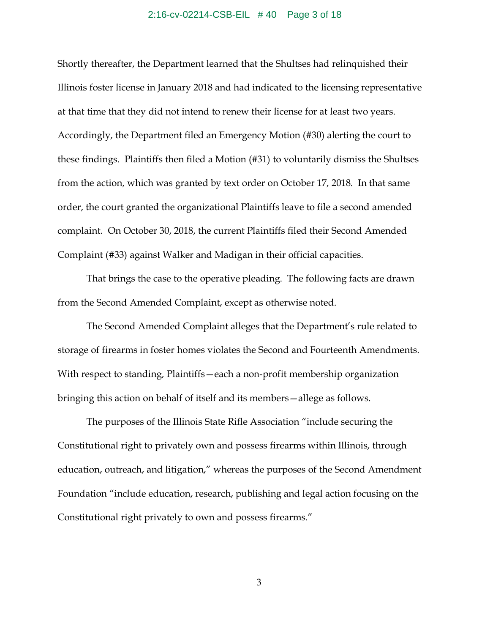### 2:16-cv-02214-CSB-EIL # 40 Page 3 of 18

Shortly thereafter, the Department learned that the Shultses had relinquished their Illinois foster license in January 2018 and had indicated to the licensing representative at that time that they did not intend to renew their license for at least two years. Accordingly, the Department filed an Emergency Motion (#30) alerting the court to these findings. Plaintiffs then filed a Motion (#31) to voluntarily dismiss the Shultses from the action, which was granted by text order on October 17, 2018. In that same order, the court granted the organizational Plaintiffs leave to file a second amended complaint. On October 30, 2018, the current Plaintiffs filed their Second Amended Complaint (#33) against Walker and Madigan in their official capacities.

That brings the case to the operative pleading. The following facts are drawn from the Second Amended Complaint, except as otherwise noted.

The Second Amended Complaint alleges that the Department's rule related to storage of firearms in foster homes violates the Second and Fourteenth Amendments. With respect to standing, Plaintiffs—each a non-profit membership organization bringing this action on behalf of itself and its members—allege as follows.

The purposes of the Illinois State Rifle Association "include securing the Constitutional right to privately own and possess firearms within Illinois, through education, outreach, and litigation," whereas the purposes of the Second Amendment Foundation "include education, research, publishing and legal action focusing on the Constitutional right privately to own and possess firearms."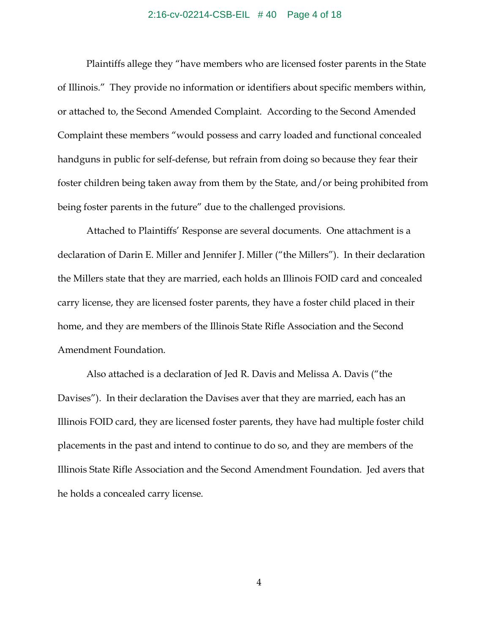### 2:16-cv-02214-CSB-EIL # 40 Page 4 of 18

Plaintiffs allege they "have members who are licensed foster parents in the State of Illinois." They provide no information or identifiers about specific members within, or attached to, the Second Amended Complaint. According to the Second Amended Complaint these members "would possess and carry loaded and functional concealed handguns in public for self-defense, but refrain from doing so because they fear their foster children being taken away from them by the State, and/or being prohibited from being foster parents in the future" due to the challenged provisions.

Attached to Plaintiffs' Response are several documents. One attachment is a declaration of Darin E. Miller and Jennifer J. Miller ("the Millers"). In their declaration the Millers state that they are married, each holds an Illinois FOID card and concealed carry license, they are licensed foster parents, they have a foster child placed in their home, and they are members of the Illinois State Rifle Association and the Second Amendment Foundation.

Also attached is a declaration of Jed R. Davis and Melissa A. Davis ("the Davises"). In their declaration the Davises aver that they are married, each has an Illinois FOID card, they are licensed foster parents, they have had multiple foster child placements in the past and intend to continue to do so, and they are members of the Illinois State Rifle Association and the Second Amendment Foundation. Jed avers that he holds a concealed carry license.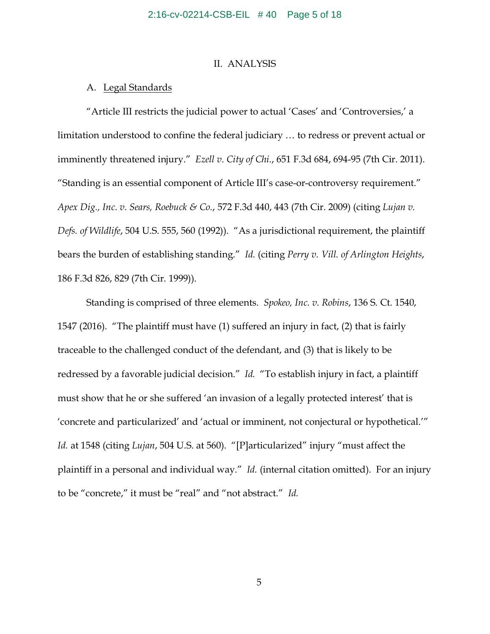## II. ANALYSIS

## A. Legal Standards

"Article III restricts the judicial power to actual 'Cases' and 'Controversies,' a limitation understood to confine the federal judiciary … to redress or prevent actual or imminently threatened injury." *Ezell v. City of Chi.*, 651 F.3d 684, 694-95 (7th Cir. 2011). "Standing is an essential component of Article III's case-or-controversy requirement." *Apex Dig., Inc. v. Sears, Roebuck & Co.*, 572 F.3d 440, 443 (7th Cir. 2009) (citing *Lujan v. Defs. of Wildlife*, 504 U.S. 555, 560 (1992)). "As a jurisdictional requirement, the plaintiff bears the burden of establishing standing." *Id.* (citing *Perry v. Vill. of Arlington Heights*, 186 F.3d 826, 829 (7th Cir. 1999)).

Standing is comprised of three elements. *Spokeo, Inc. v. Robins*, 136 S. Ct. 1540, 1547 (2016). "The plaintiff must have (1) suffered an injury in fact, (2) that is fairly traceable to the challenged conduct of the defendant, and (3) that is likely to be redressed by a favorable judicial decision." *Id.* "To establish injury in fact, a plaintiff must show that he or she suffered 'an invasion of a legally protected interest' that is 'concrete and particularized' and 'actual or imminent, not conjectural or hypothetical.'" *Id.* at 1548 (citing *Lujan*, 504 U.S. at 560). "[P]articularized" injury "must affect the plaintiff in a personal and individual way." *Id.* (internal citation omitted). For an injury to be "concrete," it must be "real" and "not abstract." *Id.*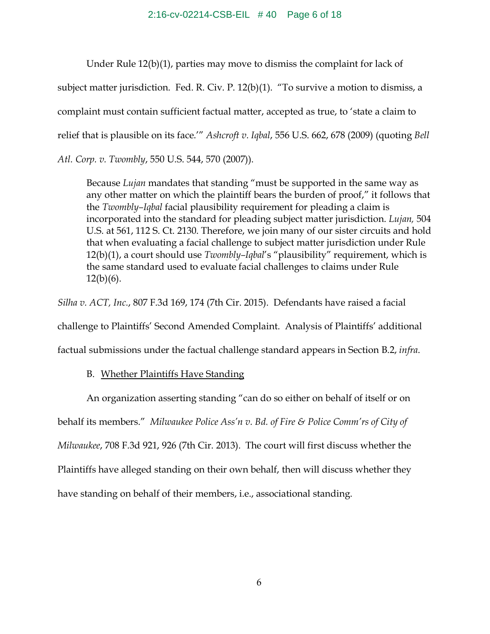## 2:16-cv-02214-CSB-EIL # 40 Page 6 of 18

Under Rule 12(b)(1), parties may move to dismiss the complaint for lack of subject matter jurisdiction. Fed. R. Civ. P. 12(b)(1). "To survive a motion to dismiss, a complaint must contain sufficient factual matter, accepted as true, to 'state a claim to relief that is plausible on its face.'" *Ashcroft v. Iqbal*, 556 U.S. 662, 678 (2009) (quoting *Bell Atl. Corp. v. Twombly*, 550 U.S. 544, 570 (2007)).

Because *Lujan* mandates that standing "must be supported in the same way as any other matter on which the plaintiff bears the burden of proof," it follows that the *Twombly–Iqbal* facial plausibility requirement for pleading a claim is incorporated into the standard for pleading subject matter jurisdiction. *Lujan,* 504 U.S. at 561, 112 S. Ct. 2130. Therefore, we join many of our sister circuits and hold that when evaluating a facial challenge to subject matter jurisdiction under Rule 12(b)(1), a court should use *Twombly–Iqbal*'s "plausibility" requirement, which is the same standard used to evaluate facial challenges to claims under Rule  $12(b)(6)$ .

*Silha v. ACT, Inc.*, 807 F.3d 169, 174 (7th Cir. 2015). Defendants have raised a facial challenge to Plaintiffs' Second Amended Complaint. Analysis of Plaintiffs' additional factual submissions under the factual challenge standard appears in Section B.2, *infra*.

# B. Whether Plaintiffs Have Standing

An organization asserting standing "can do so either on behalf of itself or on

behalf its members." *Milwaukee Police Ass'n v. Bd. of Fire & Police Comm'rs of City of* 

*Milwaukee*, 708 F.3d 921, 926 (7th Cir. 2013). The court will first discuss whether the

Plaintiffs have alleged standing on their own behalf, then will discuss whether they

have standing on behalf of their members, i.e., associational standing.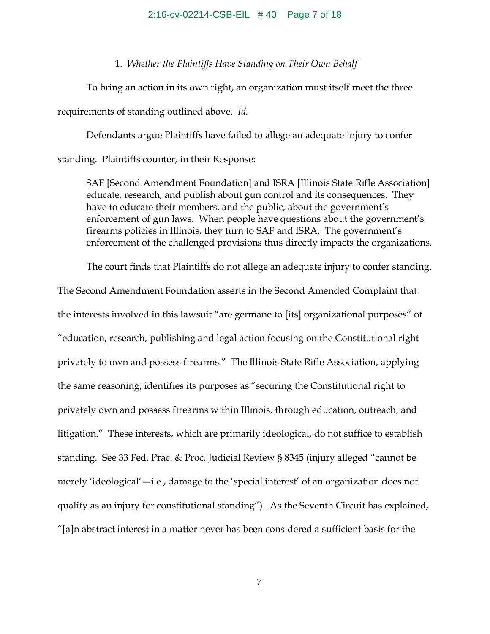# 2:16-cv-02214-CSB-EIL # 40 Page 7 of 18

## 1. *Whether the Plaintiffs Have Standing on Their Own Behalf*

To bring an action in its own right, an organization must itself meet the three

requirements of standing outlined above. *Id.*

Defendants argue Plaintiffs have failed to allege an adequate injury to confer

standing. Plaintiffs counter, in their Response:

SAF [Second Amendment Foundation] and ISRA [Illinois State Rifle Association] educate, research, and publish about gun control and its consequences. They have to educate their members, and the public, about the government's enforcement of gun laws. When people have questions about the government's firearms policies in Illinois, they turn to SAF and ISRA. The government's enforcement of the challenged provisions thus directly impacts the organizations.

The court finds that Plaintiffs do not allege an adequate injury to confer standing.

The Second Amendment Foundation asserts in the Second Amended Complaint that the interests involved in this lawsuit "are germane to [its] organizational purposes" of "education, research, publishing and legal action focusing on the Constitutional right privately to own and possess firearms." The Illinois State Rifle Association, applying the same reasoning, identifies its purposes as "securing the Constitutional right to privately own and possess firearms within Illinois, through education, outreach, and litigation." These interests, which are primarily ideological, do not suffice to establish standing. See 33 Fed. Prac. & Proc. Judicial Review § 8345 (injury alleged "cannot be merely 'ideological'—i.e., damage to the 'special interest' of an organization does not qualify as an injury for constitutional standing"). As the Seventh Circuit has explained, "[a]n abstract interest in a matter never has been considered a sufficient basis for the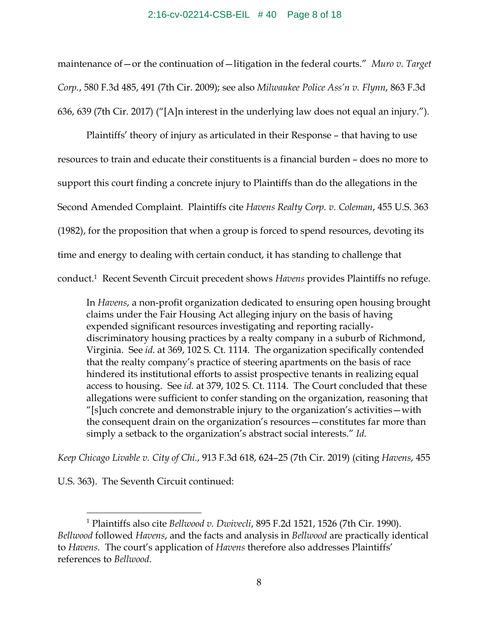#### 2:16-cv-02214-CSB-EIL # 40 Page 8 of 18

maintenance of—or the continuation of—litigation in the federal courts." *Muro v. Target Corp.*, 580 F.3d 485, 491 (7th Cir. 2009); see also *Milwaukee Police Ass'n v. Flynn*, 863 F.3d 636, 639 (7th Cir. 2017) ("[A]n interest in the underlying law does not equal an injury.").

Plaintiffs' theory of injury as articulated in their Response – that having to use resources to train and educate their constituents is a financial burden – does no more to support this court finding a concrete injury to Plaintiffs than do the allegations in the Second Amended Complaint. Plaintiffs cite *Havens Realty Corp. v. Coleman*, 455 U.S. 363 (1982), for the proposition that when a group is forced to spend resources, devoting its time and energy to dealing with certain conduct, it has standing to challenge that conduct.1 Recent Seventh Circuit precedent shows *Havens* provides Plaintiffs no refuge.

In *Havens*, a non-profit organization dedicated to ensuring open housing brought claims under the Fair Housing Act alleging injury on the basis of having expended significant resources investigating and reporting raciallydiscriminatory housing practices by a realty company in a suburb of Richmond, Virginia. See *id*. at 369, 102 S. Ct. 1114. The organization specifically contended that the realty company's practice of steering apartments on the basis of race hindered its institutional efforts to assist prospective tenants in realizing equal access to housing. See *id.* at 379, 102 S. Ct. 1114. The Court concluded that these allegations were sufficient to confer standing on the organization, reasoning that "[s]uch concrete and demonstrable injury to the organization's activities—with the consequent drain on the organization's resources—constitutes far more than simply a setback to the organization's abstract social interests." *Id*.

*Keep Chicago Livable v. City of Chi.*, 913 F.3d 618, 624–25 (7th Cir. 2019) (citing *Havens*, 455

U.S. 363). The Seventh Circuit continued:

 $\overline{a}$ 

<sup>1</sup> Plaintiffs also cite *Bellwood v. Dwivecli*, 895 F.2d 1521, 1526 (7th Cir. 1990). *Bellwood* followed *Havens*, and the facts and analysis in *Bellwood* are practically identical to *Havens*. The court's application of *Havens* therefore also addresses Plaintiffs' references to *Bellwood*.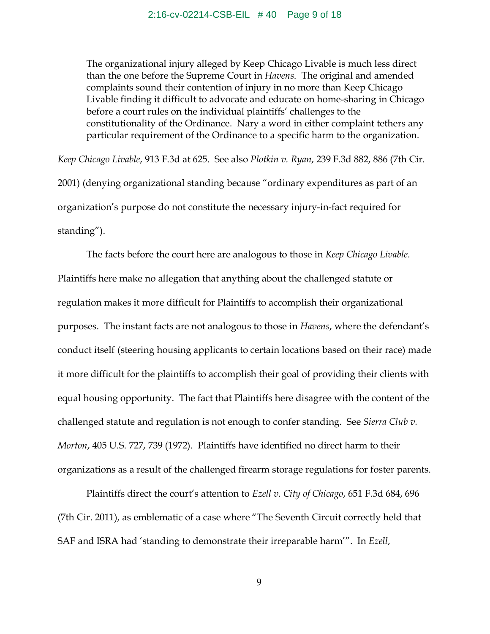The organizational injury alleged by Keep Chicago Livable is much less direct than the one before the Supreme Court in *Havens*. The original and amended complaints sound their contention of injury in no more than Keep Chicago Livable finding it difficult to advocate and educate on home-sharing in Chicago before a court rules on the individual plaintiffs' challenges to the constitutionality of the Ordinance. Nary a word in either complaint tethers any particular requirement of the Ordinance to a specific harm to the organization.

*Keep Chicago Livable*, 913 F.3d at 625. See also *Plotkin v. Ryan*, 239 F.3d 882, 886 (7th Cir. 2001) (denying organizational standing because "ordinary expenditures as part of an organization's purpose do not constitute the necessary injury-in-fact required for standing").

The facts before the court here are analogous to those in *Keep Chicago Livable*. Plaintiffs here make no allegation that anything about the challenged statute or regulation makes it more difficult for Plaintiffs to accomplish their organizational purposes. The instant facts are not analogous to those in *Havens*, where the defendant's conduct itself (steering housing applicants to certain locations based on their race) made it more difficult for the plaintiffs to accomplish their goal of providing their clients with equal housing opportunity. The fact that Plaintiffs here disagree with the content of the challenged statute and regulation is not enough to confer standing. See *Sierra Club v. Morton*, 405 U.S. 727, 739 (1972). Plaintiffs have identified no direct harm to their organizations as a result of the challenged firearm storage regulations for foster parents.

Plaintiffs direct the court's attention to *Ezell v. City of Chicago*, 651 F.3d 684, 696 (7th Cir. 2011), as emblematic of a case where "The Seventh Circuit correctly held that SAF and ISRA had 'standing to demonstrate their irreparable harm'". In *Ezell*,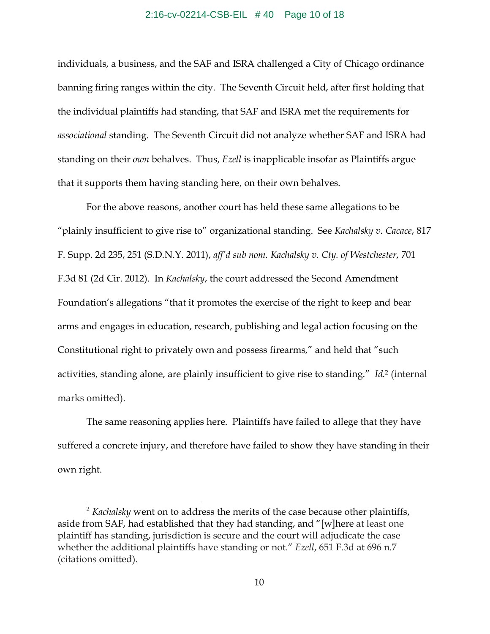#### 2:16-cv-02214-CSB-EIL # 40 Page 10 of 18

individuals, a business, and the SAF and ISRA challenged a City of Chicago ordinance banning firing ranges within the city. The Seventh Circuit held, after first holding that the individual plaintiffs had standing, that SAF and ISRA met the requirements for *associational* standing. The Seventh Circuit did not analyze whether SAF and ISRA had standing on their *own* behalves. Thus, *Ezell* is inapplicable insofar as Plaintiffs argue that it supports them having standing here, on their own behalves.

For the above reasons, another court has held these same allegations to be "plainly insufficient to give rise to" organizational standing. See *Kachalsky v. Cacace*, 817 F. Supp. 2d 235, 251 (S.D.N.Y. 2011), *aff'd sub nom. Kachalsky v. Cty. of Westchester*, 701 F.3d 81 (2d Cir. 2012). In *Kachalsky*, the court addressed the Second Amendment Foundation's allegations "that it promotes the exercise of the right to keep and bear arms and engages in education, research, publishing and legal action focusing on the Constitutional right to privately own and possess firearms," and held that "such activities, standing alone, are plainly insufficient to give rise to standing." *Id.*2 (internal marks omitted).

The same reasoning applies here. Plaintiffs have failed to allege that they have suffered a concrete injury, and therefore have failed to show they have standing in their own right.

<u>.</u>

<sup>2</sup> *Kachalsky* went on to address the merits of the case because other plaintiffs, aside from SAF, had established that they had standing, and "[w]here at least one plaintiff has standing, jurisdiction is secure and the court will adjudicate the case whether the additional plaintiffs have standing or not." *Ezell*, 651 F.3d at 696 n.7 (citations omitted).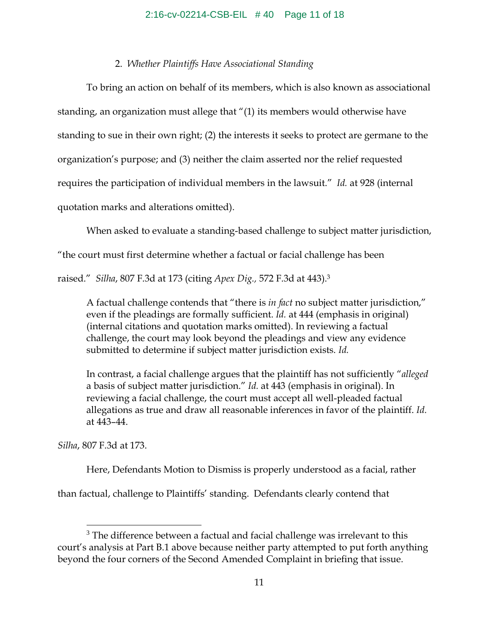# 2. *Whether Plaintiffs Have Associational Standing*

To bring an action on behalf of its members, which is also known as associational standing, an organization must allege that "(1) its members would otherwise have standing to sue in their own right; (2) the interests it seeks to protect are germane to the organization's purpose; and (3) neither the claim asserted nor the relief requested requires the participation of individual members in the lawsuit." *Id.* at 928 (internal quotation marks and alterations omitted).

When asked to evaluate a standing-based challenge to subject matter jurisdiction,

"the court must first determine whether a factual or facial challenge has been

raised." *Silha*, 807 F.3d at 173 (citing *Apex Dig.,* 572 F.3d at 443).3

A factual challenge contends that "there is *in fact* no subject matter jurisdiction," even if the pleadings are formally sufficient. *Id.* at 444 (emphasis in original) (internal citations and quotation marks omitted). In reviewing a factual challenge, the court may look beyond the pleadings and view any evidence submitted to determine if subject matter jurisdiction exists. *Id.* 

In contrast, a facial challenge argues that the plaintiff has not sufficiently "*alleged* a basis of subject matter jurisdiction." *Id.* at 443 (emphasis in original). In reviewing a facial challenge, the court must accept all well-pleaded factual allegations as true and draw all reasonable inferences in favor of the plaintiff. *Id.* at 443–44.

*Silha*, 807 F.3d at 173.

 $\overline{a}$ 

Here, Defendants Motion to Dismiss is properly understood as a facial, rather

than factual, challenge to Plaintiffs' standing. Defendants clearly contend that

 $3$  The difference between a factual and facial challenge was irrelevant to this court's analysis at Part B.1 above because neither party attempted to put forth anything beyond the four corners of the Second Amended Complaint in briefing that issue.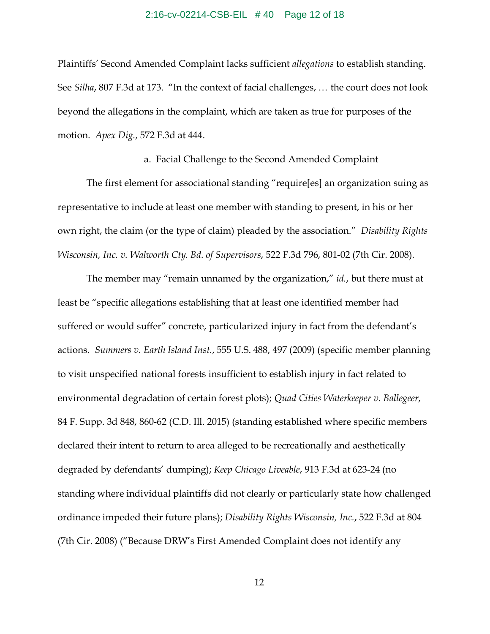## 2:16-cv-02214-CSB-EIL # 40 Page 12 of 18

Plaintiffs' Second Amended Complaint lacks sufficient *allegations* to establish standing. See *Silha*, 807 F.3d at 173. "In the context of facial challenges, … the court does not look beyond the allegations in the complaint, which are taken as true for purposes of the motion. *Apex Dig.*, 572 F.3d at 444.

a. Facial Challenge to the Second Amended Complaint

The first element for associational standing "require[es] an organization suing as representative to include at least one member with standing to present, in his or her own right, the claim (or the type of claim) pleaded by the association." *Disability Rights Wisconsin, Inc. v. Walworth Cty. Bd. of Supervisors*, 522 F.3d 796, 801-02 (7th Cir. 2008).

The member may "remain unnamed by the organization," *id.*, but there must at least be "specific allegations establishing that at least one identified member had suffered or would suffer" concrete, particularized injury in fact from the defendant's actions. *Summers v. Earth Island Inst.*, 555 U.S. 488, 497 (2009) (specific member planning to visit unspecified national forests insufficient to establish injury in fact related to environmental degradation of certain forest plots); *Quad Cities Waterkeeper v. Ballegeer*, 84 F. Supp. 3d 848, 860-62 (C.D. Ill. 2015) (standing established where specific members declared their intent to return to area alleged to be recreationally and aesthetically degraded by defendants' dumping); *Keep Chicago Liveable*, 913 F.3d at 623-24 (no standing where individual plaintiffs did not clearly or particularly state how challenged ordinance impeded their future plans); *Disability Rights Wisconsin, Inc.*, 522 F.3d at 804 (7th Cir. 2008) ("Because DRW's First Amended Complaint does not identify any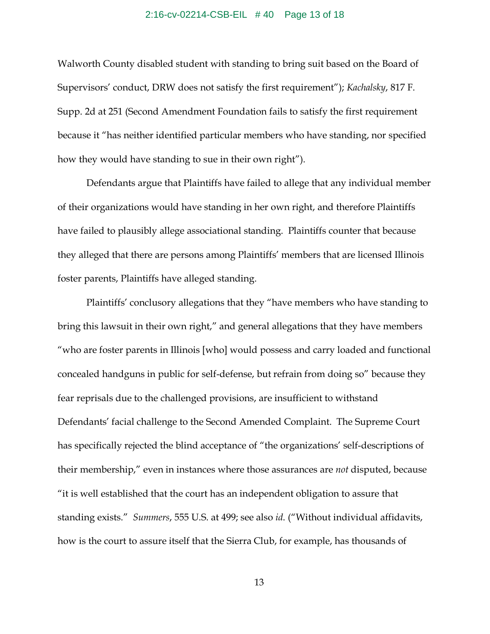## 2:16-cv-02214-CSB-EIL # 40 Page 13 of 18

Walworth County disabled student with standing to bring suit based on the Board of Supervisors' conduct, DRW does not satisfy the first requirement"); *Kachalsky*, 817 F. Supp. 2d at 251 (Second Amendment Foundation fails to satisfy the first requirement because it "has neither identified particular members who have standing, nor specified how they would have standing to sue in their own right").

Defendants argue that Plaintiffs have failed to allege that any individual member of their organizations would have standing in her own right, and therefore Plaintiffs have failed to plausibly allege associational standing. Plaintiffs counter that because they alleged that there are persons among Plaintiffs' members that are licensed Illinois foster parents, Plaintiffs have alleged standing.

Plaintiffs' conclusory allegations that they "have members who have standing to bring this lawsuit in their own right," and general allegations that they have members "who are foster parents in Illinois [who] would possess and carry loaded and functional concealed handguns in public for self-defense, but refrain from doing so" because they fear reprisals due to the challenged provisions, are insufficient to withstand Defendants' facial challenge to the Second Amended Complaint. The Supreme Court has specifically rejected the blind acceptance of "the organizations' self-descriptions of their membership," even in instances where those assurances are *not* disputed, because "it is well established that the court has an independent obligation to assure that standing exists." *Summers*, 555 U.S. at 499; see also *id*. ("Without individual affidavits, how is the court to assure itself that the Sierra Club, for example, has thousands of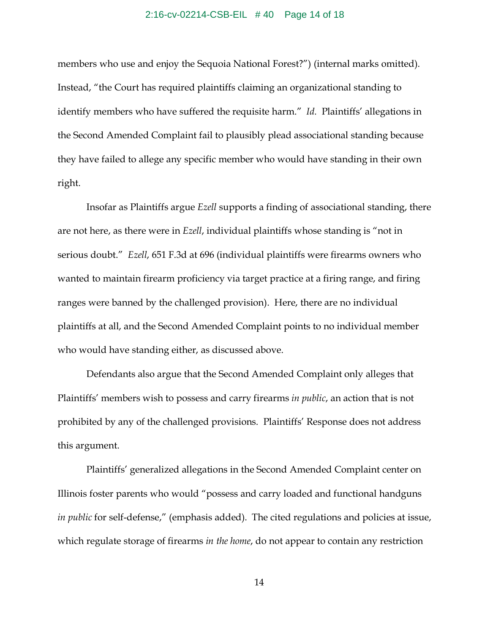## 2:16-cv-02214-CSB-EIL # 40 Page 14 of 18

members who use and enjoy the Sequoia National Forest?") (internal marks omitted). Instead, "the Court has required plaintiffs claiming an organizational standing to identify members who have suffered the requisite harm." *Id.* Plaintiffs' allegations in the Second Amended Complaint fail to plausibly plead associational standing because they have failed to allege any specific member who would have standing in their own right.

Insofar as Plaintiffs argue *Ezell* supports a finding of associational standing, there are not here, as there were in *Ezell*, individual plaintiffs whose standing is "not in serious doubt." *Ezell*, 651 F.3d at 696 (individual plaintiffs were firearms owners who wanted to maintain firearm proficiency via target practice at a firing range, and firing ranges were banned by the challenged provision). Here, there are no individual plaintiffs at all, and the Second Amended Complaint points to no individual member who would have standing either, as discussed above.

Defendants also argue that the Second Amended Complaint only alleges that Plaintiffs' members wish to possess and carry firearms *in public*, an action that is not prohibited by any of the challenged provisions. Plaintiffs' Response does not address this argument.

Plaintiffs' generalized allegations in the Second Amended Complaint center on Illinois foster parents who would "possess and carry loaded and functional handguns *in public* for self-defense," (emphasis added). The cited regulations and policies at issue, which regulate storage of firearms *in the home*, do not appear to contain any restriction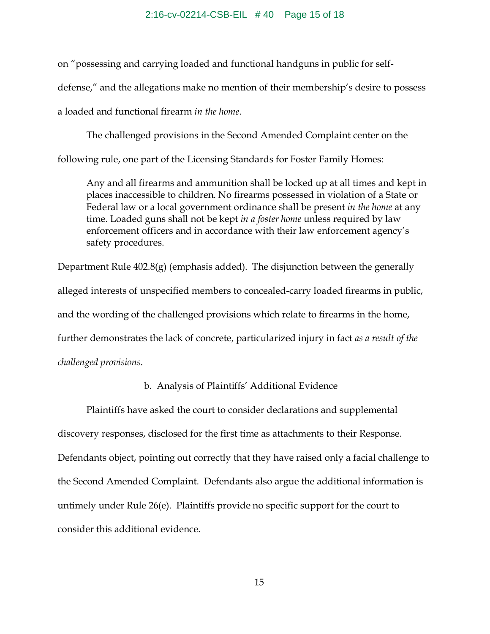on "possessing and carrying loaded and functional handguns in public for selfdefense," and the allegations make no mention of their membership's desire to possess a loaded and functional firearm *in the home*.

The challenged provisions in the Second Amended Complaint center on the following rule, one part of the Licensing Standards for Foster Family Homes:

Any and all firearms and ammunition shall be locked up at all times and kept in places inaccessible to children. No firearms possessed in violation of a State or Federal law or a local government ordinance shall be present *in the home* at any time. Loaded guns shall not be kept *in a foster home* unless required by law enforcement officers and in accordance with their law enforcement agency's safety procedures.

Department Rule 402.8(g) (emphasis added). The disjunction between the generally alleged interests of unspecified members to concealed-carry loaded firearms in public, and the wording of the challenged provisions which relate to firearms in the home, further demonstrates the lack of concrete, particularized injury in fact *as a result of the challenged provisions*.

# b. Analysis of Plaintiffs' Additional Evidence

 Plaintiffs have asked the court to consider declarations and supplemental discovery responses, disclosed for the first time as attachments to their Response. Defendants object, pointing out correctly that they have raised only a facial challenge to the Second Amended Complaint. Defendants also argue the additional information is untimely under Rule 26(e). Plaintiffs provide no specific support for the court to consider this additional evidence.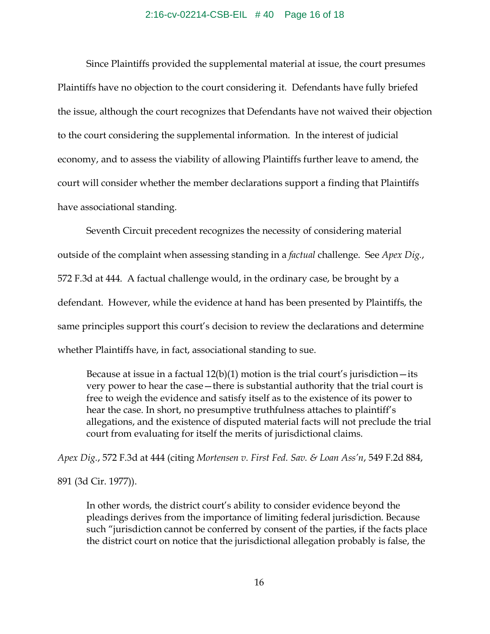#### 2:16-cv-02214-CSB-EIL # 40 Page 16 of 18

Since Plaintiffs provided the supplemental material at issue, the court presumes Plaintiffs have no objection to the court considering it. Defendants have fully briefed the issue, although the court recognizes that Defendants have not waived their objection to the court considering the supplemental information. In the interest of judicial economy, and to assess the viability of allowing Plaintiffs further leave to amend, the court will consider whether the member declarations support a finding that Plaintiffs have associational standing.

 Seventh Circuit precedent recognizes the necessity of considering material outside of the complaint when assessing standing in a *factual* challenge. See *Apex Dig.*, 572 F.3d at 444. A factual challenge would, in the ordinary case, be brought by a defendant. However, while the evidence at hand has been presented by Plaintiffs, the same principles support this court's decision to review the declarations and determine whether Plaintiffs have, in fact, associational standing to sue.

Because at issue in a factual  $12(b)(1)$  motion is the trial court's jurisdiction—its very power to hear the case—there is substantial authority that the trial court is free to weigh the evidence and satisfy itself as to the existence of its power to hear the case. In short, no presumptive truthfulness attaches to plaintiff's allegations, and the existence of disputed material facts will not preclude the trial court from evaluating for itself the merits of jurisdictional claims.

*Apex Dig.*, 572 F.3d at 444 (citing *Mortensen v. First Fed. Sav. & Loan Ass'n*, 549 F.2d 884,

891 (3d Cir. 1977)).

In other words, the district court's ability to consider evidence beyond the pleadings derives from the importance of limiting federal jurisdiction. Because such "jurisdiction cannot be conferred by consent of the parties, if the facts place the district court on notice that the jurisdictional allegation probably is false, the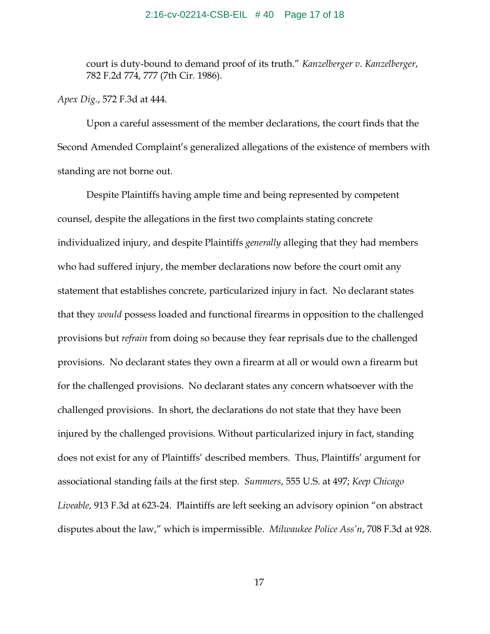## 2:16-cv-02214-CSB-EIL # 40 Page 17 of 18

court is duty-bound to demand proof of its truth." *Kanzelberger v. Kanzelberger*, 782 F.2d 774, 777 (7th Cir. 1986).

*Apex Dig.*, 572 F.3d at 444.

Upon a careful assessment of the member declarations, the court finds that the Second Amended Complaint's generalized allegations of the existence of members with standing are not borne out.

Despite Plaintiffs having ample time and being represented by competent counsel, despite the allegations in the first two complaints stating concrete individualized injury, and despite Plaintiffs *generally* alleging that they had members who had suffered injury, the member declarations now before the court omit any statement that establishes concrete, particularized injury in fact. No declarant states that they *would* possess loaded and functional firearms in opposition to the challenged provisions but *refrain* from doing so because they fear reprisals due to the challenged provisions. No declarant states they own a firearm at all or would own a firearm but for the challenged provisions. No declarant states any concern whatsoever with the challenged provisions. In short, the declarations do not state that they have been injured by the challenged provisions. Without particularized injury in fact, standing does not exist for any of Plaintiffs' described members. Thus, Plaintiffs' argument for associational standing fails at the first step. *Summers*, 555 U.S. at 497; *Keep Chicago Liveable*, 913 F.3d at 623-24. Plaintiffs are left seeking an advisory opinion "on abstract disputes about the law," which is impermissible. *Milwaukee Police Ass'n*, 708 F.3d at 928.